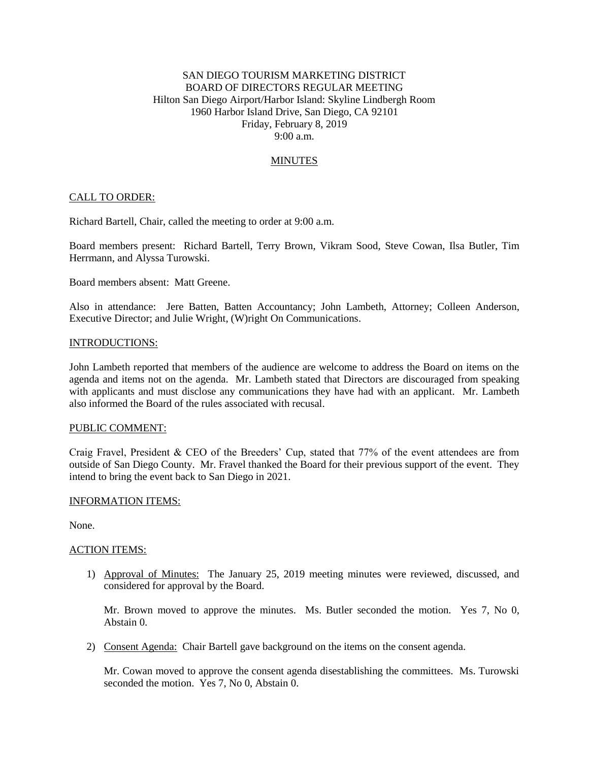# SAN DIEGO TOURISM MARKETING DISTRICT BOARD OF DIRECTORS REGULAR MEETING Hilton San Diego Airport/Harbor Island: Skyline Lindbergh Room 1960 Harbor Island Drive, San Diego, CA 92101 Friday, February 8, 2019 9:00 a.m.

# MINUTES

### CALL TO ORDER:

Richard Bartell, Chair, called the meeting to order at 9:00 a.m.

Board members present: Richard Bartell, Terry Brown, Vikram Sood, Steve Cowan, Ilsa Butler, Tim Herrmann, and Alyssa Turowski.

Board members absent: Matt Greene.

Also in attendance: Jere Batten, Batten Accountancy; John Lambeth, Attorney; Colleen Anderson, Executive Director; and Julie Wright, (W)right On Communications.

#### INTRODUCTIONS:

John Lambeth reported that members of the audience are welcome to address the Board on items on the agenda and items not on the agenda. Mr. Lambeth stated that Directors are discouraged from speaking with applicants and must disclose any communications they have had with an applicant. Mr. Lambeth also informed the Board of the rules associated with recusal.

### PUBLIC COMMENT:

Craig Fravel, President & CEO of the Breeders' Cup, stated that 77% of the event attendees are from outside of San Diego County. Mr. Fravel thanked the Board for their previous support of the event. They intend to bring the event back to San Diego in 2021.

#### INFORMATION ITEMS:

None.

#### ACTION ITEMS:

1) Approval of Minutes: The January 25, 2019 meeting minutes were reviewed, discussed, and considered for approval by the Board.

Mr. Brown moved to approve the minutes. Ms. Butler seconded the motion. Yes 7, No 0, Abstain 0.

2) Consent Agenda: Chair Bartell gave background on the items on the consent agenda.

Mr. Cowan moved to approve the consent agenda disestablishing the committees. Ms. Turowski seconded the motion. Yes 7, No 0, Abstain 0.